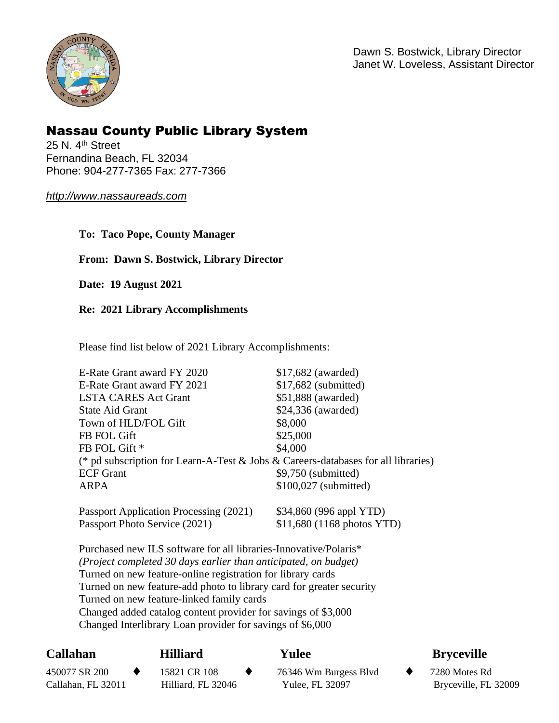

Dawn S. Bostwick, Library Director Janet W. Loveless, Assistant Director

# Nassau County Public Library System

25 N. 4<sup>th</sup> Street Fernandina Beach, FL 32034 Phone: 904-277-7365 Fax: 277-7366

#### *<http://www.nassaureads.com>*

**To: Taco Pope, County Manager** 

### **From: Dawn S. Bostwick, Library Director**

**Date: 19 August 2021** 

#### **Re: 2021 Library Accomplishments**

Please find list below of 2021 Library Accomplishments:

| E-Rate Grant award FY 2020                                                        | $$17,682$ (awarded)     |  |  |  |  |
|-----------------------------------------------------------------------------------|-------------------------|--|--|--|--|
| E-Rate Grant award FY 2021                                                        | $$17,682$ (submitted)   |  |  |  |  |
| <b>LSTA CARES Act Grant</b>                                                       | \$51,888 (awarded)      |  |  |  |  |
| State Aid Grant                                                                   | \$24,336 (awarded)      |  |  |  |  |
| Town of HLD/FOL Gift                                                              | \$8,000                 |  |  |  |  |
| FB FOL Gift                                                                       | \$25,000                |  |  |  |  |
| FB FOL Gift *                                                                     | \$4,000                 |  |  |  |  |
| (* pd subscription for Learn-A-Test & Jobs & Careers-databases for all libraries) |                         |  |  |  |  |
| <b>ECF</b> Grant                                                                  | \$9,750 (submitted)     |  |  |  |  |
| <b>ARPA</b>                                                                       | \$100,027 (submitted)   |  |  |  |  |
| Passport Application Processing (2021)                                            | \$34,860 (996 appl YTD) |  |  |  |  |

Purchased new ILS software for all libraries-Innovative/Polaris\* *(Project completed 30 days earlier than anticipated, on budget)*  Turned on new feature-online registration for library cards Turned on new feature-add photo to library card for greater security Turned on new feature-linked family cards Changed added catalog content provider for savings of \$3,000 Changed Interlibrary Loan provider for savings of \$6,000

Passport Photo Service (2021) \$11,680 (1168 photos YTD)

#### Callahan **Callahan Hilliard Yulee Bryceville**  450077 SR 200 15821 CR 108 76346 Wm Burgess Blvd 7280 Motes Rd Callahan, FL 32011 Hilliard, FL 32046 Yulee, FL 32097 Bryceville, FL 32009